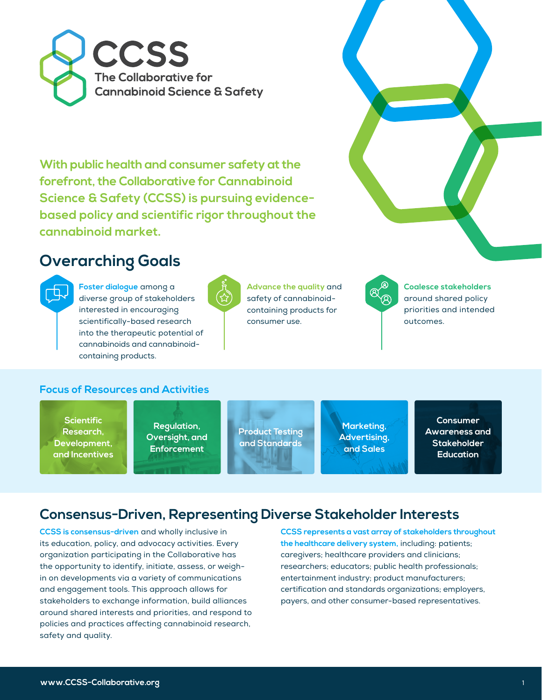

**With public health and consumer safety at the forefront, the Collaborative for Cannabinoid Science & Safety (CCSS) is pursuing evidencebased policy and scientific rigor throughout the cannabinoid market.**

# **Overarching Goals**



**Foster dialogue** among a diverse group of stakeholders interested in encouraging scientifically-based research into the therapeutic potential of cannabinoids and cannabinoidcontaining products.



**Advance the quality** and safety of cannabinoidcontaining products for consumer use.



**Coalesce stakeholders**  around shared policy priorities and intended outcomes.

### **Focus of Resources and Activities**

**Scientific Research, Development, and Incentives**

**Regulation, Oversight, and Enforcement**

**Product Testing and Standards**

**Marketing, Advertising, and Sales**

**Consumer Awareness and Stakeholder Education**

### **Consensus-Driven, Representing Diverse Stakeholder Interests**

**CCSS is consensus-driven** and wholly inclusive in its education, policy, and advocacy activities. Every organization participating in the Collaborative has the opportunity to identify, initiate, assess, or weighin on developments via a variety of communications and engagement tools. This approach allows for stakeholders to exchange information, build alliances around shared interests and priorities, and respond to policies and practices affecting cannabinoid research, safety and quality.

**CCSS represents a vast array of stakeholders throughout the healthcare delivery system,** including: patients; caregivers; healthcare providers and clinicians; researchers; educators; public health professionals; entertainment industry; product manufacturers; certification and standards organizations; employers, payers, and other consumer-based representatives.